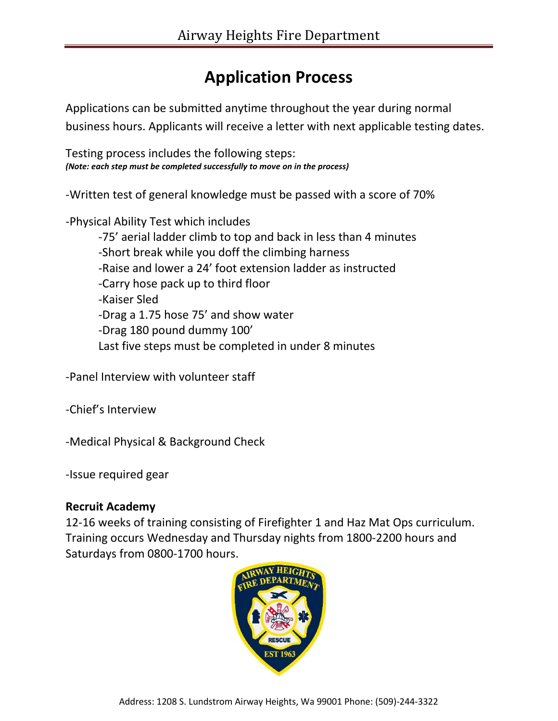## **Application Process**

Applications can be submitted anytime throughout the year during normal business hours. Applicants will receive a letter with next applicable testing dates.

Testing process includes the following steps: *(Note: each step must be completed successfully to move on in the process)*

-Written test of general knowledge must be passed with a score of 70%

-Physical Ability Test which includes

-75' aerial ladder climb to top and back in less than 4 minutes -Short break while you doff the climbing harness -Raise and lower a 24' foot extension ladder as instructed -Carry hose pack up to third floor -Kaiser Sled -Drag a 1.75 hose 75' and show water -Drag 180 pound dummy 100' Last five steps must be completed in under 8 minutes

-Panel Interview with volunteer staff

-Chief's Interview

-Medical Physical & Background Check

-Issue required gear

## **Recruit Academy**

12-16 weeks of training consisting of Firefighter 1 and Haz Mat Ops curriculum. Training occurs Wednesday and Thursday nights from 1800-2200 hours and Saturdays from 0800-1700 hours.

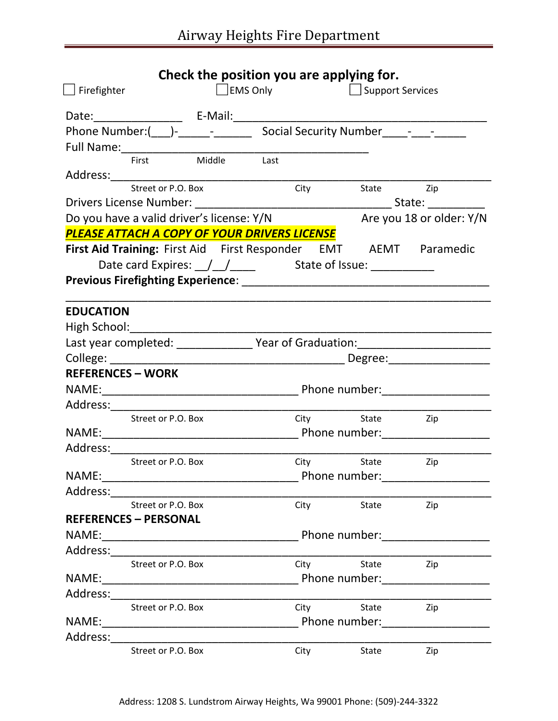|                    |                                                                                        |                 |  |             | Check the position you are applying for. |                                                                                                                |  |
|--------------------|----------------------------------------------------------------------------------------|-----------------|--|-------------|------------------------------------------|----------------------------------------------------------------------------------------------------------------|--|
| $\Box$ Firefighter |                                                                                        | $\Box$ EMS Only |  |             |                                          | <b>Support Services</b>                                                                                        |  |
|                    |                                                                                        |                 |  |             |                                          |                                                                                                                |  |
|                    | Phone Number:(____)-____________________________Social Security Number______-_________ |                 |  |             |                                          |                                                                                                                |  |
|                    | Full Name:<br>First Middle Last                                                        |                 |  |             |                                          |                                                                                                                |  |
|                    |                                                                                        |                 |  |             |                                          |                                                                                                                |  |
|                    | Address: Street or P.O. Box City                                                       |                 |  |             |                                          |                                                                                                                |  |
|                    |                                                                                        |                 |  |             | City State Zip                           |                                                                                                                |  |
|                    |                                                                                        |                 |  |             |                                          |                                                                                                                |  |
|                    | Do you have a valid driver's license: Y/N                                              |                 |  |             |                                          | Are you 18 or older: Y/N                                                                                       |  |
|                    | PLEASE ATTACH A COPY OF YOUR DRIVERS LICENSE                                           |                 |  |             |                                          |                                                                                                                |  |
|                    | First Aid Training: First Aid First Responder EMT AEMT Paramedic                       |                 |  |             |                                          |                                                                                                                |  |
|                    |                                                                                        |                 |  |             |                                          |                                                                                                                |  |
|                    |                                                                                        |                 |  |             |                                          |                                                                                                                |  |
|                    |                                                                                        |                 |  |             |                                          |                                                                                                                |  |
| <b>EDUCATION</b>   |                                                                                        |                 |  |             |                                          |                                                                                                                |  |
|                    |                                                                                        |                 |  |             |                                          |                                                                                                                |  |
|                    |                                                                                        |                 |  |             |                                          | Last year completed: _________________ Year of Graduation: _____________________                               |  |
|                    |                                                                                        |                 |  |             |                                          |                                                                                                                |  |
|                    | <b>REFERENCES - WORK</b>                                                               |                 |  |             |                                          |                                                                                                                |  |
|                    |                                                                                        |                 |  |             |                                          | NAME: NAME: 2000 Phone number: 2000 Phone number: 2000 Phone number: 2000 Phone number: 2000 Phone number: 200 |  |
|                    |                                                                                        |                 |  |             |                                          |                                                                                                                |  |
|                    | Street or P.O. Box                                                                     |                 |  |             | City State Zip                           |                                                                                                                |  |
|                    |                                                                                        |                 |  |             |                                          |                                                                                                                |  |
|                    | Street or P.O. Box                                                                     |                 |  |             | City State Zip                           |                                                                                                                |  |
|                    |                                                                                        |                 |  |             |                                          | Phone number:____________________                                                                              |  |
|                    |                                                                                        |                 |  |             |                                          |                                                                                                                |  |
|                    | Street or P.O. Box                                                                     |                 |  | City        | State                                    | Zip                                                                                                            |  |
|                    | <b>REFERENCES - PERSONAL</b>                                                           |                 |  |             |                                          |                                                                                                                |  |
|                    |                                                                                        |                 |  |             |                                          | Phone number:_____________________                                                                             |  |
|                    |                                                                                        |                 |  |             |                                          |                                                                                                                |  |
|                    | Street or P.O. Box                                                                     |                 |  | City        | State                                    | Zip                                                                                                            |  |
|                    |                                                                                        |                 |  |             |                                          | Phone number:_____________________                                                                             |  |
|                    |                                                                                        |                 |  |             |                                          |                                                                                                                |  |
|                    | Street or P.O. Box                                                                     |                 |  | City        | State                                    | Zip                                                                                                            |  |
|                    |                                                                                        |                 |  |             |                                          | Phone number: _____________________                                                                            |  |
|                    |                                                                                        |                 |  |             |                                          |                                                                                                                |  |
|                    | Street or P.O. Box                                                                     |                 |  | <b>City</b> | State                                    | Zip                                                                                                            |  |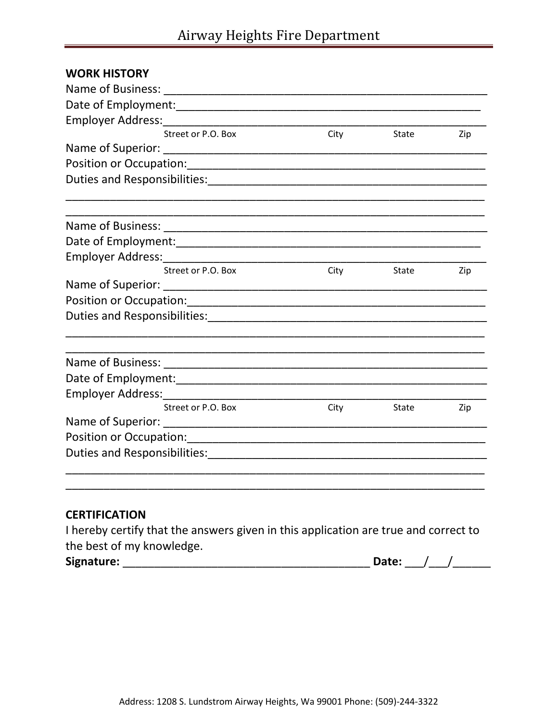| <b>WORK HISTORY</b> |      |       |     |
|---------------------|------|-------|-----|
|                     |      |       |     |
|                     |      |       |     |
|                     |      |       |     |
| Street or P.O. Box  | City | State | Zip |
|                     |      |       |     |
|                     |      |       |     |
|                     |      |       |     |
|                     |      |       |     |
|                     |      |       |     |
|                     |      |       |     |
| Street or P.O. Box  | City | State | Zip |
|                     |      |       |     |
|                     |      |       |     |
|                     |      |       |     |
|                     |      |       |     |
|                     |      |       |     |
|                     |      |       |     |
| Street or P.O. Box  | City | State | Zip |
|                     |      |       |     |
|                     |      |       |     |
|                     |      |       |     |
|                     |      |       |     |

## **CERTIFICATION**

I hereby certify that the answers given in this application are true and correct to the best of my knowledge.

| Signature:<br>ate: |
|--------------------|
|--------------------|